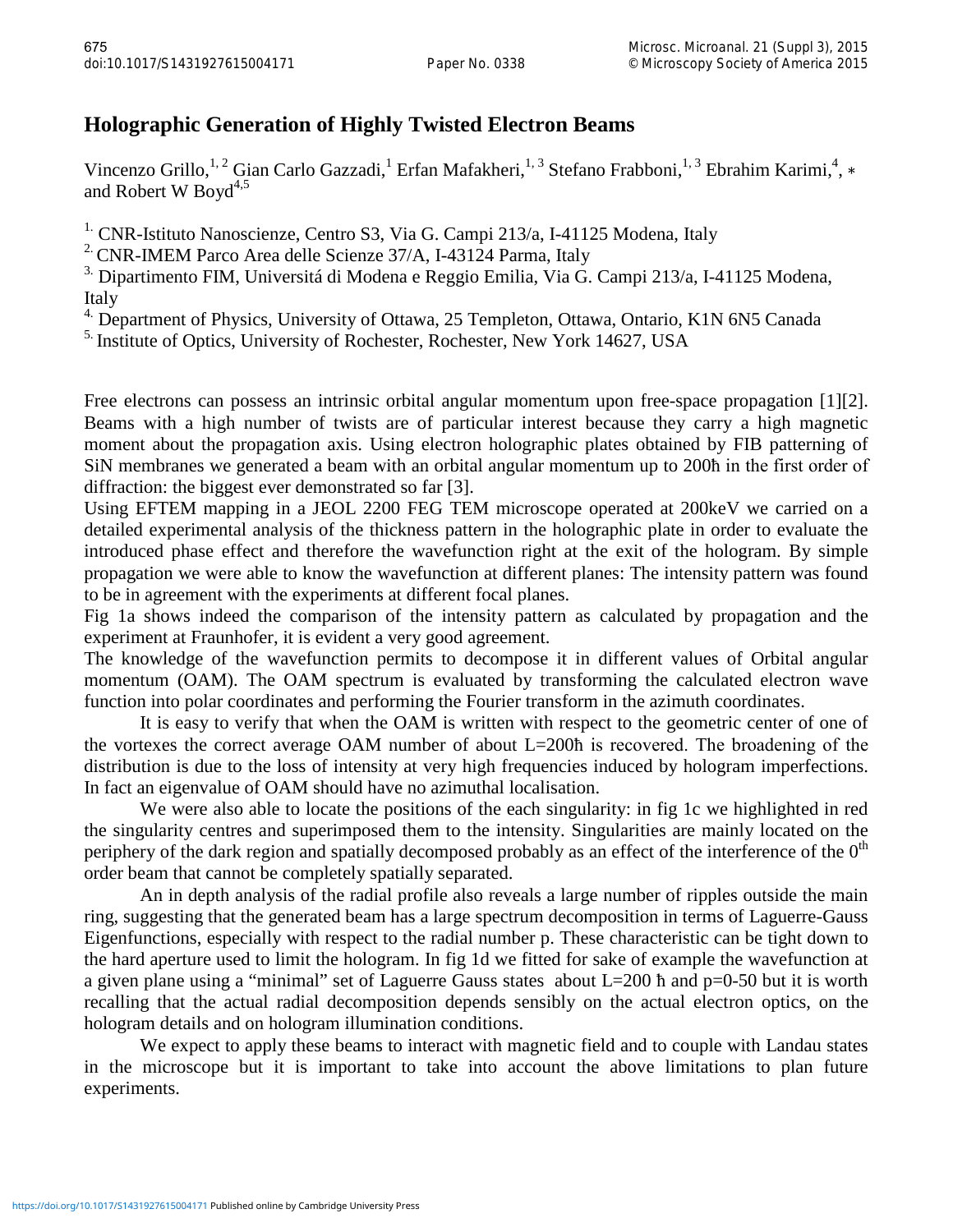## **Holographic Generation of Highly Twisted Electron Beams**

Vincenzo Grillo,<sup>1, 2</sup> Gian Carlo Gazzadi,<sup>1</sup> Erfan Mafakheri,<sup>1, 3</sup> Stefano Frabboni,<sup>1, 3</sup> Ebrahim Karimi,<sup>4</sup>, \* and Robert W Boyd $4,5$ 

<sup>1.</sup> CNR-Istituto Nanoscienze, Centro S3, Via G. Campi 213/a, I-41125 Modena, Italy

<sup>2</sup> CNR-IMEM Parco Area delle Scienze 37/A, I-43124 Parma, Italy

<sup>3.</sup> Dipartimento FIM, Universitá di Modena e Reggio Emilia, Via G. Campi 213/a, I-41125 Modena, Italy

<sup>4.</sup> Department of Physics, University of Ottawa, 25 Templeton, Ottawa, Ontario, K1N 6N5 Canada

<sup>5.</sup> Institute of Optics, University of Rochester, Rochester, New York 14627, USA

Free electrons can possess an intrinsic orbital angular momentum upon free-space propagation [1][2]. Beams with a high number of twists are of particular interest because they carry a high magnetic moment about the propagation axis. Using electron holographic plates obtained by FIB patterning of SiN membranes we generated a beam with an orbital angular momentum up to 200ħ in the first order of diffraction: the biggest ever demonstrated so far [3].

Using EFTEM mapping in a JEOL 2200 FEG TEM microscope operated at 200keV we carried on a detailed experimental analysis of the thickness pattern in the holographic plate in order to evaluate the introduced phase effect and therefore the wavefunction right at the exit of the hologram. By simple propagation we were able to know the wavefunction at different planes: The intensity pattern was found to be in agreement with the experiments at different focal planes.

Fig 1a shows indeed the comparison of the intensity pattern as calculated by propagation and the experiment at Fraunhofer, it is evident a very good agreement.

The knowledge of the wavefunction permits to decompose it in different values of Orbital angular momentum (OAM). The OAM spectrum is evaluated by transforming the calculated electron wave function into polar coordinates and performing the Fourier transform in the azimuth coordinates.

It is easy to verify that when the OAM is written with respect to the geometric center of one of the vortexes the correct average OAM number of about L=200ħ is recovered. The broadening of the distribution is due to the loss of intensity at very high frequencies induced by hologram imperfections. In fact an eigenvalue of OAM should have no azimuthal localisation.

We were also able to locate the positions of the each singularity: in fig 1c we highlighted in red the singularity centres and superimposed them to the intensity. Singularities are mainly located on the periphery of the dark region and spatially decomposed probably as an effect of the interference of the  $0<sup>th</sup>$ order beam that cannot be completely spatially separated.

An in depth analysis of the radial profile also reveals a large number of ripples outside the main ring, suggesting that the generated beam has a large spectrum decomposition in terms of Laguerre-Gauss Eigenfunctions, especially with respect to the radial number p. These characteristic can be tight down to the hard aperture used to limit the hologram. In fig 1d we fitted for sake of example the wavefunction at a given plane using a "minimal" set of Laguerre Gauss states about L=200 ħ and p=0-50 but it is worth recalling that the actual radial decomposition depends sensibly on the actual electron optics, on the hologram details and on hologram illumination conditions.

We expect to apply these beams to interact with magnetic field and to couple with Landau states in the microscope but it is important to take into account the above limitations to plan future experiments.